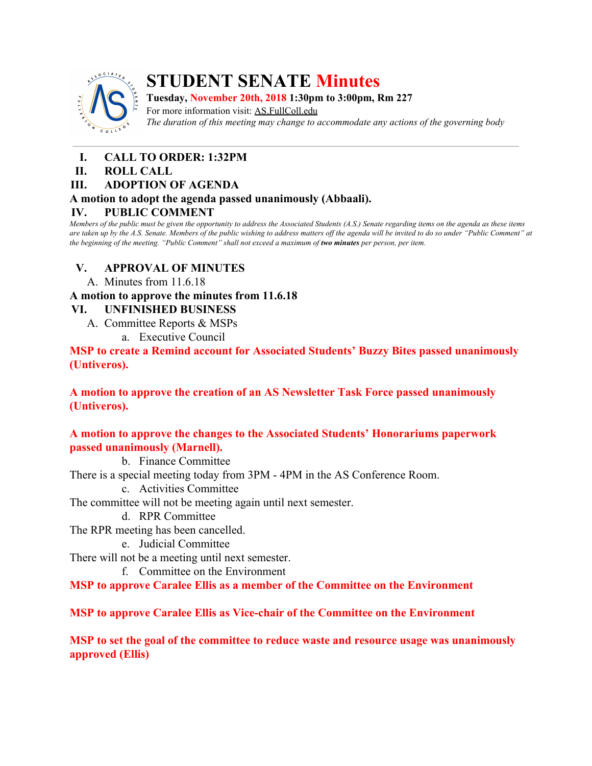

# **STUDENT SENATE Minutes**

**Tuesday, November 20th, 2018 1:30pm to 3:00pm, Rm 227** For more information visit: AS.FullColl.edu *The duration of this meeting may change to accommodate any actions of the governing body*

- **I. CALL TO ORDER: 1:32PM**
- **II. ROLL CALL**

## **III. ADOPTION OF AGENDA**

#### **A motion to adopt the agenda passed unanimously (Abbaali).**

## **IV. PUBLIC COMMENT**

Members of the public must be given the opportunity to address the Associated Students (A.S.) Senate regarding items on the agenda as these items are taken up by the A.S. Senate. Members of the public wishing to address matters off the agenda will be invited to do so under "Public Comment" at the beginning of the meeting. "Public Comment" shall not exceed a maximum of two minutes per person, per item.

## **V. APPROVAL OF MINUTES**

A. Minutes from 11.6.18

## **A motion to approve the minutes from 11.6.18**

## **VI. UNFINISHED BUSINESS**

- A. Committee Reports & MSPs
	- a. Executive Council

#### **MSP to create a Remind account for Associated Students' Buzzy Bites passed unanimously (Untiveros).**

**A motion to approve the creation of an AS Newsletter Task Force passed unanimously (Untiveros).**

## **A motion to approve the changes to the Associated Students' Honorariums paperwork passed unanimously (Marnell).**

b. Finance Committee

There is a special meeting today from 3PM - 4PM in the AS Conference Room.

c. Activities Committee

The committee will not be meeting again until next semester.

- d. RPR Committee
- The RPR meeting has been cancelled.
	- e. Judicial Committee

There will not be a meeting until next semester.

f. Committee on the Environment

**MSP to approve Caralee Ellis as a member of the Committee on the Environment**

**MSP to approve Caralee Ellis as Vice-chair of the Committee on the Environment**

**MSP to set the goal of the committee to reduce waste and resource usage was unanimously approved (Ellis)**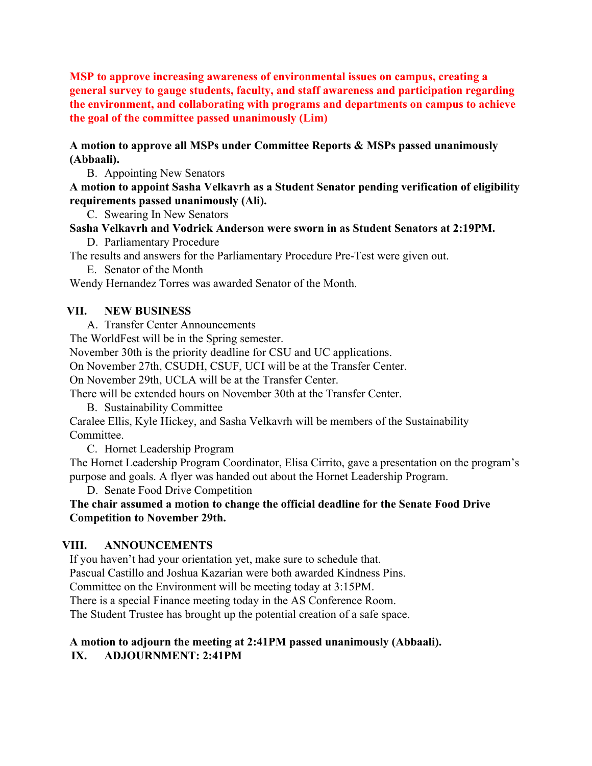**MSP to approve increasing awareness of environmental issues on campus, creating a general survey to gauge students, faculty, and staff awareness and participation regarding the environment, and collaborating with programs and departments on campus to achieve the goal of the committee passed unanimously (Lim)**

#### **A motion to approve all MSPs under Committee Reports & MSPs passed unanimously (Abbaali).**

B. Appointing New Senators

**A motion to appoint Sasha Velkavrh as a Student Senator pending verification of eligibility requirements passed unanimously (Ali).**

C. Swearing In New Senators

## **Sasha Velkavrh and Vodrick Anderson were sworn in as Student Senators at 2:19PM.**

D. Parliamentary Procedure

The results and answers for the Parliamentary Procedure Pre-Test were given out.

E. Senator of the Month

Wendy Hernandez Torres was awarded Senator of the Month.

#### **VII. NEW BUSINESS**

A. Transfer Center Announcements

The WorldFest will be in the Spring semester.

November 30th is the priority deadline for CSU and UC applications.

On November 27th, CSUDH, CSUF, UCI will be at the Transfer Center.

On November 29th, UCLA will be at the Transfer Center.

There will be extended hours on November 30th at the Transfer Center.

B. Sustainability Committee

Caralee Ellis, Kyle Hickey, and Sasha Velkavrh will be members of the Sustainability Committee.

C. Hornet Leadership Program

The Hornet Leadership Program Coordinator, Elisa Cirrito, gave a presentation on the program's purpose and goals. A flyer was handed out about the Hornet Leadership Program.

D. Senate Food Drive Competition

**The chair assumed a motion to change the official deadline for the Senate Food Drive Competition to November 29th.**

#### **VIII. ANNOUNCEMENTS**

If you haven't had your orientation yet, make sure to schedule that. Pascual Castillo and Joshua Kazarian were both awarded Kindness Pins. Committee on the Environment will be meeting today at 3:15PM. There is a special Finance meeting today in the AS Conference Room. The Student Trustee has brought up the potential creation of a safe space.

#### **A motion to adjourn the meeting at 2:41PM passed unanimously (Abbaali). IX. ADJOURNMENT: 2:41PM**